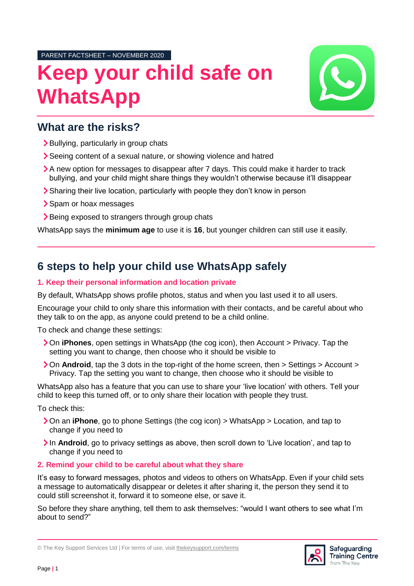PARENT FACTSHEET – NOVEMBER 2020

# **Keep your child safe on WhatsApp**



## **What are the risks?**

- > Bullying, particularly in group chats
- Seeing content of a sexual nature, or showing violence and hatred
- A new option for messages to disappear after 7 days. This could make it harder to track bullying, and your child might share things they wouldn't otherwise because it'll disappear
- Sharing their live location, particularly with people they don't know in person
- > Spam or hoax messages
- > Being exposed to strangers through group chats

WhatsApp says the **minimum age** to use it is **16**, but younger children can still use it easily.

## **6 steps to help your child use WhatsApp safely**

#### **1. Keep their personal information and location private**

By default, WhatsApp shows profile photos, status and when you last used it to all users.

Encourage your child to only share this information with their contacts, and be careful about who they talk to on the app, as anyone could pretend to be a child online.

To check and change these settings:

- On **iPhones**, open settings in WhatsApp (the cog icon), then Account > Privacy. Tap the setting you want to change, then choose who it should be visible to
- **>** On **Android**, tap the 3 dots in the top-right of the home screen, then > Settings > Account > Privacy. Tap the setting you want to change, then choose who it should be visible to

WhatsApp also has a feature that you can use to share your 'live location' with others. Tell your child to keep this turned off, or to only share their location with people they trust.

To check this:

- On an **iPhone**, go to phone Settings (the cog icon) > WhatsApp > Location, and tap to change if you need to
- In **Android**, go to privacy settings as above, then scroll down to 'Live location', and tap to change if you need to

### **2. Remind your child to be careful about what they share**

It's easy to forward messages, photos and videos to others on WhatsApp. Even if your child sets a message to automatically disappear or deletes it after sharing it, the person they send it to could still screenshot it, forward it to someone else, or save it.

So before they share anything, tell them to ask themselves: "would I want others to see what I'm about to send?"



<sup>©</sup> The Key Support Services Ltd | For terms of use, visit [thekeysupport.com/terms](https://thekeysupport.com/terms-of-use)